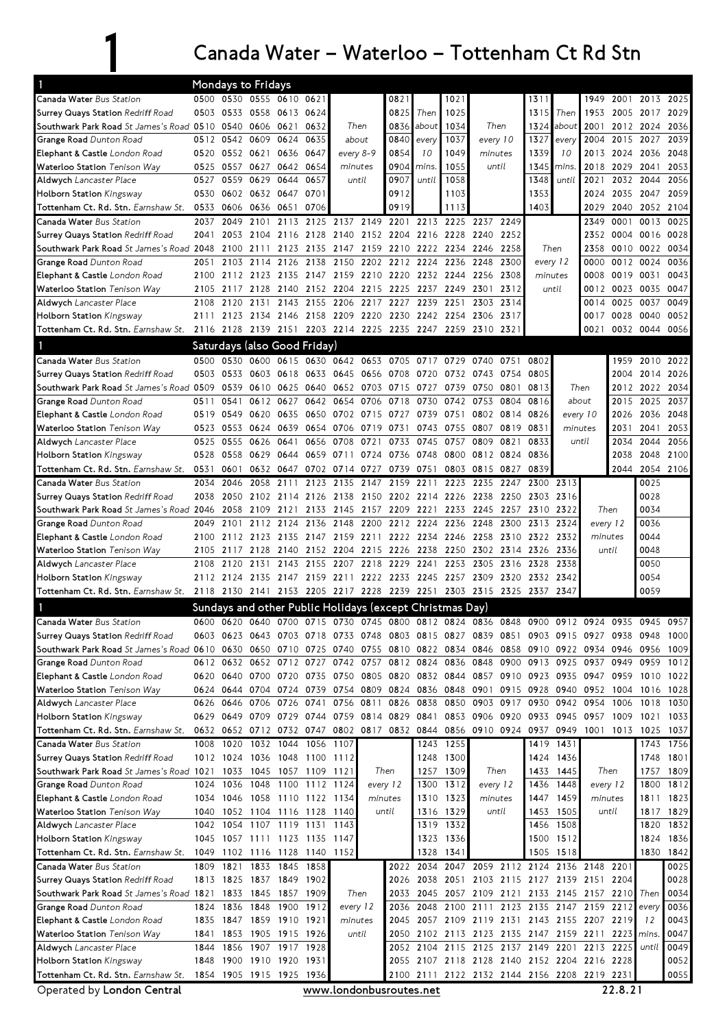## Canada Water – Waterloo – Tottenham Ct Rd Stn

| $\blacksquare$                                                                                                                                                                    |              | Mondays to Fridays  |                |                                    |                |                                 |           |                                                             |                              |                |                                    |      |              |                   |                                                                                              |                |                   |              |
|-----------------------------------------------------------------------------------------------------------------------------------------------------------------------------------|--------------|---------------------|----------------|------------------------------------|----------------|---------------------------------|-----------|-------------------------------------------------------------|------------------------------|----------------|------------------------------------|------|--------------|-------------------|----------------------------------------------------------------------------------------------|----------------|-------------------|--------------|
| Canada Water Bus Station                                                                                                                                                          |              |                     |                | 0500 0530 0555 0610 0621           |                |                                 |           | 0821                                                        |                              | 1021           |                                    |      | 1311         |                   | 1949                                                                                         | 2001           | 2013              | 2025         |
| <b>Surrey Quavs Station Redriff Road</b>                                                                                                                                          |              | 0503 0533 0558 0613 |                |                                    | 0624           |                                 |           | 0825                                                        | Then                         | 1025           |                                    |      | 1315         | Then              | 1953                                                                                         | 2005 2017      |                   | 2029         |
| Southwark Park Road St James's Road 0510                                                                                                                                          |              | 0540                | 0606 0621      |                                    | 0632           | Then                            |           | 0836                                                        | about                        | 1034           | Then                               |      | 1324         | about             | 2001                                                                                         |                | 2012 2024         | 2036         |
| Grange Road Dunton Road                                                                                                                                                           | 0512         | 0542                | 0609           | 0624                               | 0635           | about                           |           | 0840                                                        | every                        | 1037           | every 10                           |      | 1327         | every             | 2004                                                                                         | 2015           | 2027              | 2039         |
| Elephant & Castle London Road                                                                                                                                                     | 0520         | 0552 0621           |                | 0636                               | 0647           |                                 | every 8-9 | 0854                                                        | 10                           | 1049           | minutes<br>until                   |      | 1339         | 10                | 2013                                                                                         | 2024 2036 2048 |                   |              |
| Waterloo Station Tenison Way<br>Aldwych Lancaster Place                                                                                                                           | 0525<br>0527 | 0557<br>0559        | 0627<br>0629   | 0642<br>0644                       | 0654<br>0657   | minutes<br>until                |           | 0904<br>0907                                                | mins.<br>until               | 1055<br>1058   |                                    |      | 1345<br>1348 | mins.<br>until    | 2018<br>2021                                                                                 | 2029           | 2041<br>2032 2044 | 2053<br>2056 |
| Holborn Station Kingsway                                                                                                                                                          | 0530         |                     | 0602 0632 0647 |                                    | 0701           |                                 |           | 0912                                                        |                              | 1103           |                                    |      | 1353         |                   | 2024                                                                                         | 2035           | 2047              | 2059         |
| Tottenham Ct. Rd. Stn. Earnshaw St.                                                                                                                                               | 0533         | 0606                | 0636 0651      |                                    | 0706           |                                 |           | 0919                                                        |                              | 1113           |                                    |      | 1403         |                   | 2029                                                                                         | 2040           | 2052              | 2104         |
| Canada Water Bus Station                                                                                                                                                          | 2037         | 2049                | 2101           | 2113                               | 2125           | 2137 2149                       |           |                                                             | 2201 2213                    | 2225           | 2237                               | 2249 |              |                   | 2349                                                                                         | 0001           | 0013              | 0025         |
| Surrey Quays Station Redriff Road                                                                                                                                                 | 2041         | 2053                |                |                                    |                |                                 |           | 2104 2116 2128 2140 2152 2204 2216 2228 2240                |                              |                |                                    | 2252 |              |                   | 2352                                                                                         |                | 0004 0016         | 0028         |
| Southwark Park Road St James's Road 2048                                                                                                                                          |              |                     |                |                                    |                |                                 |           | 2100 2111 2123 2135 2147 2159 2210 2222 2234 2246 2258      |                              |                |                                    |      |              | Then              | 2358                                                                                         |                | 0010 0022 0034    |              |
| Grange Road Dunton Road                                                                                                                                                           | 2051         | 2103                | 2114           | 2126                               |                | 2138 2150                       | 2202      | 2212 2224                                                   |                              | 2236           | 2248                               | 2300 |              | every 12          | 0000                                                                                         |                | 0012 0024         | 0036         |
| Elephant & Castle London Road                                                                                                                                                     | 2100         |                     | 2112 2123 2135 |                                    | 2147 2159 2210 |                                 |           |                                                             |                              | 2220 2232 2244 | 2256                               | 2308 |              | minutes           | 0008                                                                                         | 0019           | 0031              | 0043         |
| Waterloo Station Tenison Way                                                                                                                                                      | 2105         | 2117                | 2128 2140      |                                    | 2152 2204      |                                 | 2215      | 2225 2237                                                   |                              | 2249           | 2301                               | 2312 | until        |                   | 0012                                                                                         | 0023 0035      |                   | 0047         |
| Aldwych Lancaster Place                                                                                                                                                           | 2108         | 2120                | 2131           | 2143                               | 2155           | 2206                            | 2217      | 2227                                                        | 2239                         | 2251           | 2303                               | 2314 |              |                   | 0014                                                                                         | 0025           | 0037              | 0049         |
| Holborn Station Kingsway                                                                                                                                                          | 2111         |                     | 2123 2134 2146 |                                    | 2158 2209 2220 |                                 |           |                                                             | 2230 2242                    | 2254 2306      |                                    | 2317 |              |                   | 0017                                                                                         | 0028           | 0040              | 0052         |
| Tottenham Ct. Rd. Stn. Earnshaw St. 2116 2128                                                                                                                                     |              |                     |                | 2139 2151                          |                | 2203 2214 2225                  |           | 2235 2247 2259                                              |                              |                | 2310 2321                          |      |              |                   | 0021                                                                                         |                | 0032 0044         | 0056         |
|                                                                                                                                                                                   |              |                     |                | Saturdays (also Good Friday)       |                |                                 |           |                                                             |                              |                |                                    |      |              |                   |                                                                                              |                |                   |              |
| Canada Water Bus Station                                                                                                                                                          |              | 0500 0530           |                | 0600 0615 0630 0642 0653           |                |                                 |           | 0705 0717 0729                                              |                              |                | 0740                               | 0751 | 0802         |                   |                                                                                              | 1959           | 2010 2022         |              |
| Surrey Quays Station Redriff Road                                                                                                                                                 | 0503         | 0533                | 0603 0618      |                                    | 0633           | 0645 0656                       |           | 0708 0720                                                   |                              | 0732           | 0743                               | 0754 | 0805         |                   |                                                                                              | 2004           | 2014              | 2026         |
| Southwark Park Road St James's Road 0509                                                                                                                                          |              | 0539                | 0610 0625      |                                    |                |                                 |           | 0640 0652 0703 0715 0727                                    |                              | 0739           | 0750                               | 0801 | 0813         | Then<br>about     |                                                                                              |                | 2012 2022 2034    |              |
| Grange Road Dunton Road                                                                                                                                                           | 0511<br>0519 | 0541<br>0549        | 0612<br>0620   | 0627<br>0635                       | 0650           | 0642 0654<br>0702 0715          | 0706      | 0718 0730<br>0727 0739                                      |                              | 0742<br>0751   | 0753<br>0802 0814                  | 0804 | 0816<br>0826 |                   |                                                                                              | 2015<br>2026   | 2025<br>2036      | 2037<br>2048 |
| Elephant & Castle London Road<br>Waterloo Station Tenison Way                                                                                                                     | 0523         | 0553 0624 0639      |                |                                    |                | 0654 0706 0719                  |           | 0731                                                        | 0743                         | 0755           | 0807                               | 0819 | 0831         | every 10          | minutes                                                                                      | 2031           | 2041              | 2053         |
| Aldwych Lancaster Place                                                                                                                                                           | 0525         | 0555                | 0626           | 0641                               | 0656           | 0708                            | 0721      | 0733                                                        | 0745                         | 0757           | 0809                               | 0821 | 0833         |                   | until                                                                                        | 2034           | 2044              | 2056         |
| <b>Holborn Station Kingsway</b>                                                                                                                                                   | 0528         | 0558                | 0629 0644      |                                    |                | 0659 0711                       | 0724      |                                                             | 0736 0748                    | 0800           | 0812 0824                          |      | 0836         |                   |                                                                                              | 2038           | 2048              | 2100         |
| Tottenham Ct. Rd. Stn. Earnshaw St.                                                                                                                                               | 0531         | 0601                |                | 0632 0647                          |                | 0702 0714                       | 0727      | 0739 0751                                                   |                              |                | 0803 0815 0827                     |      | 0839         |                   |                                                                                              | 2044           | 2054 2106         |              |
| Canada Water Bus Station                                                                                                                                                          | 2034         | 2046                | 2058           | 2111                               | 2123           | 2135                            | 2147      | 2159                                                        | 2211                         | 2223           | 2235                               | 2247 |              | 2300 2313         |                                                                                              |                | 0025              |              |
| Surrey Quays Station Redriff Road                                                                                                                                                 | 2038         | 2050                |                |                                    |                |                                 |           | 2102 2114 2126 2138 2150 2202 2214 2226                     |                              |                | 2238 2250                          |      |              | 2303 2316         |                                                                                              |                | 0028              |              |
| Southwark Park Road St James's Road 2046                                                                                                                                          |              | 2058                | 2109 2121      |                                    |                |                                 |           | 2133 2145 2157 2209 2221                                    |                              |                | 2233 2245 2257 2310 2322           |      |              |                   | Then                                                                                         |                | 0034              |              |
| Grange Road Dunton Road                                                                                                                                                           | 2049         | 2101                |                | 2112 2124                          | 2136           | 2148                            | 2200      |                                                             | 2212 2224                    | 2236           | 2248                               | 2300 | 2313         | 2324              | every 12                                                                                     |                | 0036              |              |
| Elephant & Castle London Road                                                                                                                                                     | 2100         | 2112 2123           |                | 2135                               | 2147           |                                 | 2159 2211 |                                                             | 2222 2234                    | 2246           | 2258                               | 2310 | 2322         | 2332              | minutes                                                                                      |                | 0044              |              |
| Waterloo Station Tenison Way                                                                                                                                                      | 2105         | 2117 2128 2140      |                |                                    | 2152 2204 2215 |                                 |           | 2226 2238                                                   |                              |                | 2250 2302 2314                     |      | 2326         | 2336              | until                                                                                        |                | 0048              |              |
| Aldwych Lancaster Place                                                                                                                                                           | 2108         | 2120                | 2131           | 2143                               | 2155           | 2207                            | 2218      | 2229                                                        | 2241                         | 2253           | 2305                               | 2316 | 2328         | 2338              |                                                                                              |                | 0050              |              |
| Holborn Station Kingsway                                                                                                                                                          |              |                     |                |                                    |                |                                 |           | 2112 2124 2135 2147 2159 2211 2222 2233 2245 2257 2309 2320 |                              |                |                                    |      | 2332 2342    |                   |                                                                                              |                | 0054<br>0059      |              |
| Tottenham Ct. Rd. Stn. Earnshaw St. 2118 2130 2141 2153 2205 2217 2228 2239 2251 2303 2315 2325 2337 2347                                                                         |              |                     |                |                                    |                |                                 |           |                                                             |                              |                |                                    |      |              |                   |                                                                                              |                |                   |              |
| Sundays and other Public Holidays (except Christmas Day)<br>Canada Water Bus Station<br>0600 0620 0640 0700 0715 0730 0745 0800 0812 0824 0836 0848 0900 0912 0924 0935 0945 0957 |              |                     |                |                                    |                |                                 |           |                                                             |                              |                |                                    |      |              |                   |                                                                                              |                |                   |              |
| Surrey Quays Station Redriff Road                                                                                                                                                 |              |                     |                |                                    |                |                                 |           | 0603 0623 0643 0703 0718 0733 0748 0803 0815 0827 0839 0851 |                              |                |                                    |      |              |                   | 0903 0915 0927 0938 0948                                                                     |                |                   | 1000         |
| Southwark Park Road St James's Road 0610 0630                                                                                                                                     |              |                     |                | 0650 0710                          | 0725           | 0740 0755                       |           | 0810 0822                                                   |                              |                | 0834 0846                          | 0858 |              | 0910 0922         | 0934                                                                                         | 0946 0956      |                   | 1009         |
| <b>Grange Road Dunton Road</b>                                                                                                                                                    |              |                     |                | 0612 0632 0652 0712 0727 0742 0757 |                |                                 |           |                                                             |                              |                | 0812 0824 0836 0848 0900 0913 0925 |      |              |                   | 0937                                                                                         | 0949 0959      |                   | 1012         |
| Elephant & Castle London Road                                                                                                                                                     |              | 0620 0640           | 0700 0720      |                                    | 0735 0750 0805 |                                 |           |                                                             |                              |                |                                    |      |              |                   | 0820 0832 0844 0857 0910 0923 0935 0947 0959 1010                                            |                |                   | 1022         |
| Waterloo Station Tenison Way                                                                                                                                                      | 0624         | 0644                | 0704 0724      |                                    |                |                                 |           | 0739 0754 0809 0824 0836 0848                               |                              |                | 0901                               |      | 0915 0928    | 0940              | 0952                                                                                         | 1004 1016 1028 |                   |              |
| Aldwych Lancaster Place                                                                                                                                                           | 0626         | 0646                | 0706           | 0726                               | 0741           | 0756                            | 0811      | 0826                                                        | 0838                         | 0850           | 0903                               | 0917 | 0930         | 0942              | 0954                                                                                         | 1006           | 1018              | 1030         |
| Holborn Station Kingsway                                                                                                                                                          |              |                     |                |                                    |                |                                 |           | 0629 0649 0709 0729 0744 0759 0814 0829 0841                |                              |                | 0853 0906 0920                     |      |              |                   | 0933 0945 0957 1009                                                                          |                | 1021 1033         |              |
| Tottenham Ct. Rd. Stn. Earnshaw St.                                                                                                                                               |              |                     |                |                                    |                |                                 |           |                                                             |                              |                |                                    |      |              |                   | 0632 0652 0712 0732 0747 0802 0817 0832 0844 0856 0910 0924 0937 0949 1001 1013 1025 1037    |                |                   |              |
| Canada Water Bus Station                                                                                                                                                          | 1008         | 1020                |                | 1032 1044                          | 1056 1107      |                                 |           |                                                             | 1243                         | 1255           |                                    |      |              | 1419 1431         |                                                                                              |                |                   | 1743 1756    |
| Surrey Quays Station Redriff Road                                                                                                                                                 | 1012         | 1024                |                | 1036 1048                          | 1100           | 1112                            |           |                                                             | 1248                         | 1300           |                                    |      | 1424         | 1436              |                                                                                              |                | 1748              | 1801         |
| Southwark Park Road St James's Road 1021<br>Grange Road Dunton Road                                                                                                               |              | 1033                |                | 1045 1057                          |                | 1109 1121                       |           | Then                                                        | 1257                         | 1309           | Then                               |      | 1433         | 1445              | Then                                                                                         |                | 1757              | 1809         |
| Elephant & Castle London Road                                                                                                                                                     | 1024<br>1034 | 1036                |                | 1046 1058 1110 1122 1134           |                | 1048 1100 1112 1124<br>every 12 |           | minutes                                                     | 1300<br>1312<br>1310<br>1323 |                | every 12<br>minutes                |      | 1436         | 1448<br>1447 1459 | every 12<br>minutes                                                                          |                | 1800<br>1811      | 1812<br>1823 |
| Waterloo Station Tenison Way                                                                                                                                                      | 1040         |                     |                | 1052 1104 1116 1128 1140           |                |                                 |           | until                                                       | 1316                         | 1329           | until                              |      |              | 1453 1505         | until                                                                                        |                |                   | 1817 1829    |
| Aldwych Lancaster Place                                                                                                                                                           |              |                     |                | 1042 1054 1107 1119 1131 1143      |                |                                 |           |                                                             | 1319                         | 1332           |                                    |      |              | 1456 1508         |                                                                                              |                | 1820              | 1832         |
| Holborn Station Kingsway                                                                                                                                                          |              |                     |                | 1045 1057 1111 1123 1135 1147      |                |                                 |           |                                                             | 1323                         | 1336           |                                    |      |              | 1500 1512         |                                                                                              |                | 1824              | 1836         |
| Tottenham Ct. Rd. Stn. Earnshaw St.                                                                                                                                               | 1049         | 1102 1116 1128      |                |                                    | 1140 1152      |                                 |           |                                                             | 1328                         | 1341           |                                    |      |              | 1505 1518         |                                                                                              |                | 1830              | 1842         |
| Canada Water Bus Station                                                                                                                                                          | 1809         | 1821                | 1833 1845      |                                    | 1858           |                                 |           |                                                             | 2022 2034                    |                |                                    |      |              |                   | 2047 2059 2112 2124 2136 2148 2201                                                           |                |                   | 0025         |
| <b>Surrey Quays Station Redriff Road</b>                                                                                                                                          |              | 1813 1825 1837 1849 |                |                                    | 1902           |                                 |           |                                                             | 2026 2038                    |                |                                    |      |              |                   | 2051 2103 2115 2127 2139 2151 2204                                                           |                |                   | 0028         |
| Southwark Park Road St James's Road 1821                                                                                                                                          |              | 1833                |                | 1845 1857                          | 1909           |                                 | Then      | 2033                                                        | 2045                         |                | 2057 2109 2121                     |      |              |                   | 2133 2145 2157 2210                                                                          |                | Then              | 0034         |
| Grange Road Dunton Road                                                                                                                                                           | 1824         | 1836                | 1848           | 1900                               | 1912           | every 12                        |           |                                                             | 2036 2048                    | 2100 2111      |                                    |      | 2123 2135    | 2147              | 2159 2212                                                                                    |                | every             | 0036         |
| Elephant & Castle London Road                                                                                                                                                     | 1835         |                     |                | 1847 1859 1910 1921                |                |                                 | minutes   |                                                             |                              |                |                                    |      |              |                   | 2045 2057 2109 2119 2131 2143 2155 2207 2219                                                 |                | 12                | 0043         |
| Waterloo Station Tenison Way                                                                                                                                                      | 1841         | 1853                |                | 1905 1915 1926                     |                |                                 | until     |                                                             |                              |                |                                    |      |              |                   | 2050 2102 2113 2123 2135 2147 2159 2211 2223                                                 |                | mins.             | 0047         |
| Aldwych Lancaster Place                                                                                                                                                           | 1844         |                     |                | 1856 1907 1917                     | 1928           |                                 |           |                                                             |                              |                |                                    |      |              |                   | 2052 2104 2115 2125 2137 2149 2201 2213 2225                                                 |                | until             | 0049         |
| Holborn Station Kingsway<br>Tottenham Ct. Rd. Stn. Earnshaw St. 1854 1905 1915 1925 1936                                                                                          | 1848         |                     | 1900 1910 1920 |                                    | 1931           |                                 |           |                                                             |                              |                |                                    |      |              |                   | 2055 2107 2118 2128 2140 2152 2204 2216 2228<br>2100 2111 2122 2132 2144 2156 2208 2219 2231 |                |                   | 0052<br>0055 |
|                                                                                                                                                                                   |              |                     |                |                                    |                |                                 |           |                                                             |                              |                |                                    |      |              |                   |                                                                                              |                |                   |              |

Operated by London Central **WWW.Londonbusroutes.net** 22.8.21